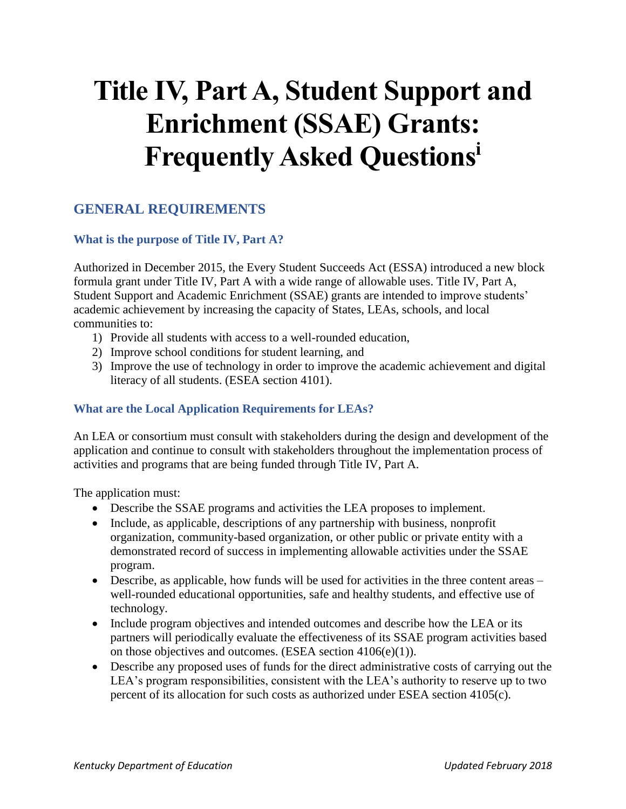# **Title IV, Part A, Student Support and Enrichment (SSAE) Grants: Frequently Asked Questions<sup>i</sup>**

# **GENERAL REQUIREMENTS**

## **What is the purpose of Title IV, Part A?**

Authorized in December 2015, the Every Student Succeeds Act (ESSA) introduced a new block formula grant under Title IV, Part A with a wide range of allowable uses. Title IV, Part A, Student Support and Academic Enrichment (SSAE) grants are intended to improve students' academic achievement by increasing the capacity of States, LEAs, schools, and local communities to:

- 1) Provide all students with access to a well-rounded education,
- 2) Improve school conditions for student learning, and
- 3) Improve the use of technology in order to improve the academic achievement and digital literacy of all students. (ESEA section 4101).

## **What are the Local Application Requirements for LEAs?**

An LEA or consortium must consult with stakeholders during the design and development of the application and continue to consult with stakeholders throughout the implementation process of activities and programs that are being funded through Title IV, Part A.

The application must:

- Describe the SSAE programs and activities the LEA proposes to implement.
- Include, as applicable, descriptions of any partnership with business, nonprofit organization, community-based organization, or other public or private entity with a demonstrated record of success in implementing allowable activities under the SSAE program.
- Describe, as applicable, how funds will be used for activities in the three content areas well-rounded educational opportunities, safe and healthy students, and effective use of technology.
- Include program objectives and intended outcomes and describe how the LEA or its partners will periodically evaluate the effectiveness of its SSAE program activities based on those objectives and outcomes. (ESEA section 4106(e)(1)).
- Describe any proposed uses of funds for the direct administrative costs of carrying out the LEA's program responsibilities, consistent with the LEA's authority to reserve up to two percent of its allocation for such costs as authorized under ESEA section 4105(c).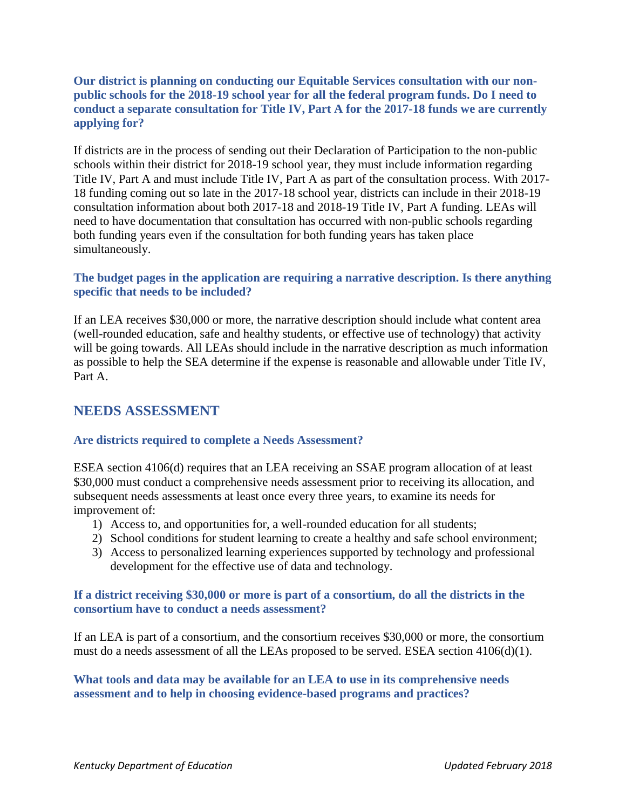#### **Our district is planning on conducting our Equitable Services consultation with our nonpublic schools for the 2018-19 school year for all the federal program funds. Do I need to conduct a separate consultation for Title IV, Part A for the 2017-18 funds we are currently applying for?**

If districts are in the process of sending out their Declaration of Participation to the non-public schools within their district for 2018-19 school year, they must include information regarding Title IV, Part A and must include Title IV, Part A as part of the consultation process. With 2017- 18 funding coming out so late in the 2017-18 school year, districts can include in their 2018-19 consultation information about both 2017-18 and 2018-19 Title IV, Part A funding. LEAs will need to have documentation that consultation has occurred with non-public schools regarding both funding years even if the consultation for both funding years has taken place simultaneously.

#### **The budget pages in the application are requiring a narrative description. Is there anything specific that needs to be included?**

If an LEA receives \$30,000 or more, the narrative description should include what content area (well-rounded education, safe and healthy students, or effective use of technology) that activity will be going towards. All LEAs should include in the narrative description as much information as possible to help the SEA determine if the expense is reasonable and allowable under Title IV, Part A.

# **NEEDS ASSESSMENT**

#### **Are districts required to complete a Needs Assessment?**

ESEA section 4106(d) requires that an LEA receiving an SSAE program allocation of at least \$30,000 must conduct a comprehensive needs assessment prior to receiving its allocation, and subsequent needs assessments at least once every three years, to examine its needs for improvement of:

- 1) Access to, and opportunities for, a well-rounded education for all students;
- 2) School conditions for student learning to create a healthy and safe school environment;
- 3) Access to personalized learning experiences supported by technology and professional development for the effective use of data and technology.

#### **If a district receiving \$30,000 or more is part of a consortium, do all the districts in the consortium have to conduct a needs assessment?**

If an LEA is part of a consortium, and the consortium receives \$30,000 or more, the consortium must do a needs assessment of all the LEAs proposed to be served. ESEA section 4106(d)(1).

**What tools and data may be available for an LEA to use in its comprehensive needs assessment and to help in choosing evidence-based programs and practices?**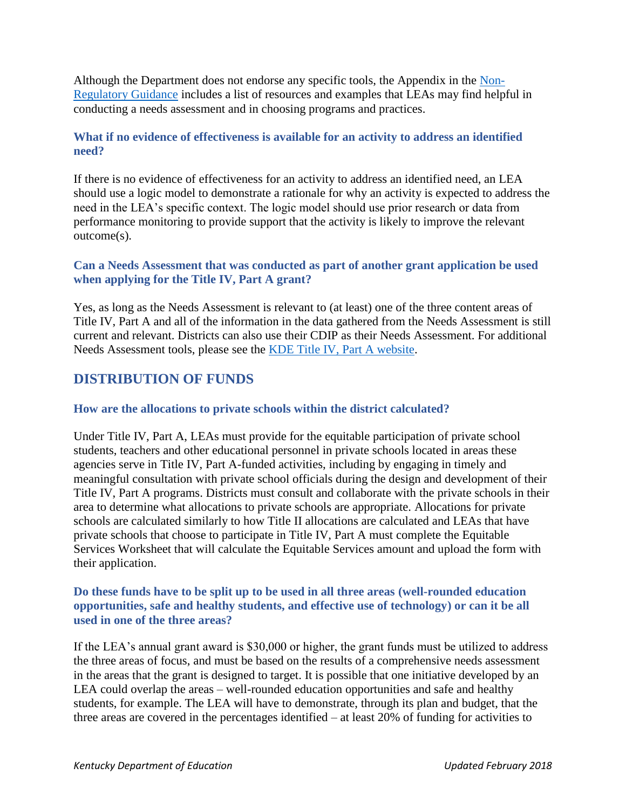Although the Department does not endorse any specific tools, the Appendix in the [Non-](https://www2.ed.gov/policy/elsec/leg/essa/essassaegrantguid10212016.pdf)[Regulatory Guidance](https://www2.ed.gov/policy/elsec/leg/essa/essassaegrantguid10212016.pdf) includes a list of resources and examples that LEAs may find helpful in conducting a needs assessment and in choosing programs and practices.

## **What if no evidence of effectiveness is available for an activity to address an identified need?**

If there is no evidence of effectiveness for an activity to address an identified need, an LEA should use a logic model to demonstrate a rationale for why an activity is expected to address the need in the LEA's specific context. The logic model should use prior research or data from performance monitoring to provide support that the activity is likely to improve the relevant outcome(s).

## **Can a Needs Assessment that was conducted as part of another grant application be used when applying for the Title IV, Part A grant?**

Yes, as long as the Needs Assessment is relevant to (at least) one of the three content areas of Title IV, Part A and all of the information in the data gathered from the Needs Assessment is still current and relevant. Districts can also use their CDIP as their Needs Assessment. For additional Needs Assessment tools, please see the [KDE Title IV, Part A website.](https://education.ky.gov/school/Pages/Title-IV%2C-Part-A.aspx)

# **DISTRIBUTION OF FUNDS**

#### **How are the allocations to private schools within the district calculated?**

Under Title IV, Part A, LEAs must provide for the equitable participation of private school students, teachers and other educational personnel in private schools located in areas these agencies serve in Title IV, Part A-funded activities, including by engaging in timely and meaningful consultation with private school officials during the design and development of their Title IV, Part A programs. Districts must consult and collaborate with the private schools in their area to determine what allocations to private schools are appropriate. Allocations for private schools are calculated similarly to how Title II allocations are calculated and LEAs that have private schools that choose to participate in Title IV, Part A must complete the Equitable Services Worksheet that will calculate the Equitable Services amount and upload the form with their application.

#### **Do these funds have to be split up to be used in all three areas (well-rounded education opportunities, safe and healthy students, and effective use of technology) or can it be all used in one of the three areas?**

If the LEA's annual grant award is \$30,000 or higher, the grant funds must be utilized to address the three areas of focus, and must be based on the results of a comprehensive needs assessment in the areas that the grant is designed to target. It is possible that one initiative developed by an LEA could overlap the areas – well-rounded education opportunities and safe and healthy students, for example. The LEA will have to demonstrate, through its plan and budget, that the three areas are covered in the percentages identified – at least 20% of funding for activities to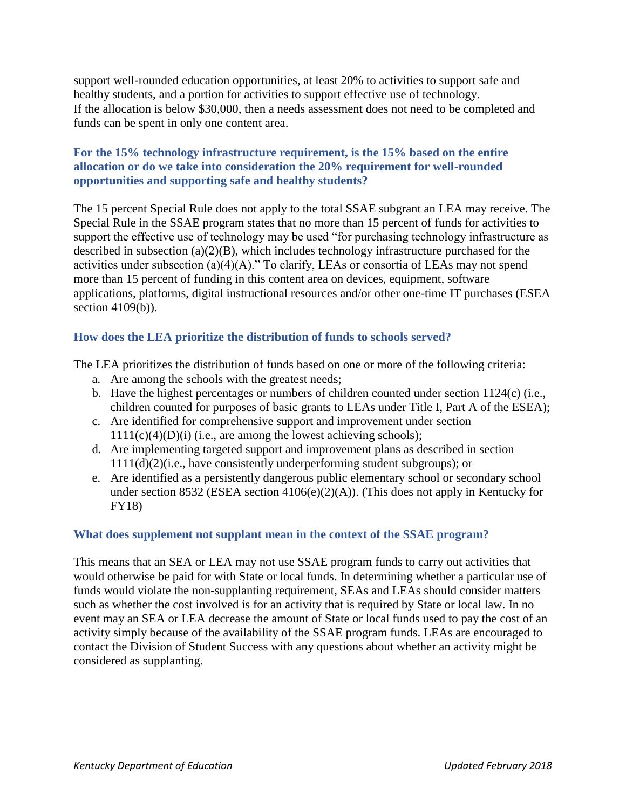support well-rounded education opportunities, at least 20% to activities to support safe and healthy students, and a portion for activities to support effective use of technology. If the allocation is below \$30,000, then a needs assessment does not need to be completed and funds can be spent in only one content area.

#### **For the 15% technology infrastructure requirement, is the 15% based on the entire allocation or do we take into consideration the 20% requirement for well-rounded opportunities and supporting safe and healthy students?**

The 15 percent Special Rule does not apply to the total SSAE subgrant an LEA may receive. The Special Rule in the SSAE program states that no more than 15 percent of funds for activities to support the effective use of technology may be used "for purchasing technology infrastructure as described in subsection (a)(2)(B), which includes technology infrastructure purchased for the activities under subsection  $(a)(4)(A)$ ." To clarify, LEAs or consortia of LEAs may not spend more than 15 percent of funding in this content area on devices, equipment, software applications, platforms, digital instructional resources and/or other one-time IT purchases (ESEA section 4109(b)).

## **How does the LEA prioritize the distribution of funds to schools served?**

The LEA prioritizes the distribution of funds based on one or more of the following criteria:

- a. Are among the schools with the greatest needs;
- b. Have the highest percentages or numbers of children counted under section 1124(c) (i.e., children counted for purposes of basic grants to LEAs under Title I, Part A of the ESEA);
- c. Are identified for comprehensive support and improvement under section  $1111(c)(4)(D)(i)$  (i.e., are among the lowest achieving schools);
- d. Are implementing targeted support and improvement plans as described in section 1111(d)(2)(i.e., have consistently underperforming student subgroups); or
- e. Are identified as a persistently dangerous public elementary school or secondary school under section 8532 (ESEA section 4106(e)(2)(A)). (This does not apply in Kentucky for FY18)

#### **What does supplement not supplant mean in the context of the SSAE program?**

This means that an SEA or LEA may not use SSAE program funds to carry out activities that would otherwise be paid for with State or local funds. In determining whether a particular use of funds would violate the non-supplanting requirement, SEAs and LEAs should consider matters such as whether the cost involved is for an activity that is required by State or local law. In no event may an SEA or LEA decrease the amount of State or local funds used to pay the cost of an activity simply because of the availability of the SSAE program funds. LEAs are encouraged to contact the Division of Student Success with any questions about whether an activity might be considered as supplanting.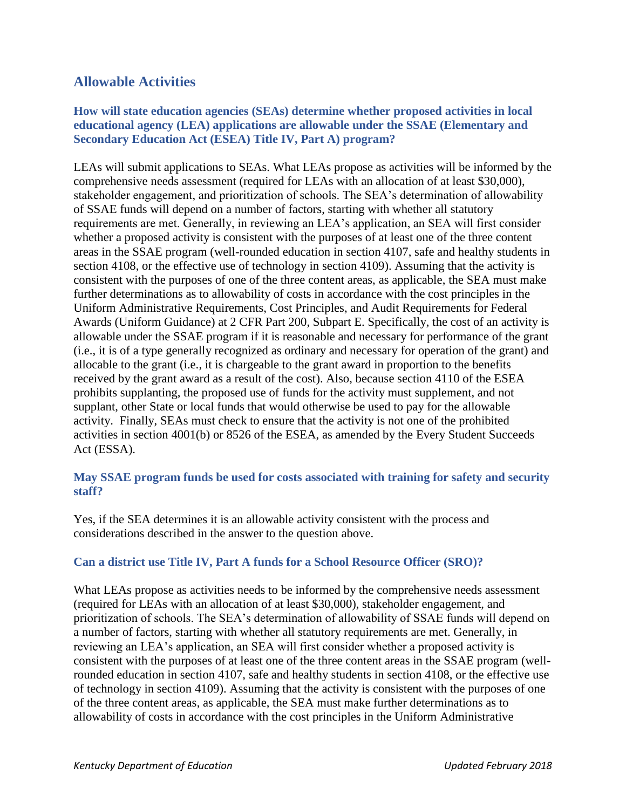# **Allowable Activities**

#### **How will state education agencies (SEAs) determine whether proposed activities in local educational agency (LEA) applications are allowable under the SSAE (Elementary and Secondary Education Act (ESEA) Title IV, Part A) program?**

LEAs will submit applications to SEAs. What LEAs propose as activities will be informed by the comprehensive needs assessment (required for LEAs with an allocation of at least \$30,000), stakeholder engagement, and prioritization of schools. The SEA's determination of allowability of SSAE funds will depend on a number of factors, starting with whether all statutory requirements are met. Generally, in reviewing an LEA's application, an SEA will first consider whether a proposed activity is consistent with the purposes of at least one of the three content areas in the SSAE program (well-rounded education in section 4107, safe and healthy students in section 4108, or the effective use of technology in section 4109). Assuming that the activity is consistent with the purposes of one of the three content areas, as applicable, the SEA must make further determinations as to allowability of costs in accordance with the cost principles in the Uniform Administrative Requirements, Cost Principles, and Audit Requirements for Federal Awards (Uniform Guidance) at 2 CFR Part 200, Subpart E. Specifically, the cost of an activity is allowable under the SSAE program if it is reasonable and necessary for performance of the grant (i.e., it is of a type generally recognized as ordinary and necessary for operation of the grant) and allocable to the grant (i.e., it is chargeable to the grant award in proportion to the benefits received by the grant award as a result of the cost). Also, because section 4110 of the ESEA prohibits supplanting, the proposed use of funds for the activity must supplement, and not supplant, other State or local funds that would otherwise be used to pay for the allowable activity. Finally, SEAs must check to ensure that the activity is not one of the prohibited activities in section 4001(b) or 8526 of the ESEA, as amended by the Every Student Succeeds Act (ESSA).

#### **May SSAE program funds be used for costs associated with training for safety and security staff?**

Yes, if the SEA determines it is an allowable activity consistent with the process and considerations described in the answer to the question above.

#### **Can a district use Title IV, Part A funds for a School Resource Officer (SRO)?**

What LEAs propose as activities needs to be informed by the comprehensive needs assessment (required for LEAs with an allocation of at least \$30,000), stakeholder engagement, and prioritization of schools. The SEA's determination of allowability of SSAE funds will depend on a number of factors, starting with whether all statutory requirements are met. Generally, in reviewing an LEA's application, an SEA will first consider whether a proposed activity is consistent with the purposes of at least one of the three content areas in the SSAE program (wellrounded education in section 4107, safe and healthy students in section 4108, or the effective use of technology in section 4109). Assuming that the activity is consistent with the purposes of one of the three content areas, as applicable, the SEA must make further determinations as to allowability of costs in accordance with the cost principles in the Uniform Administrative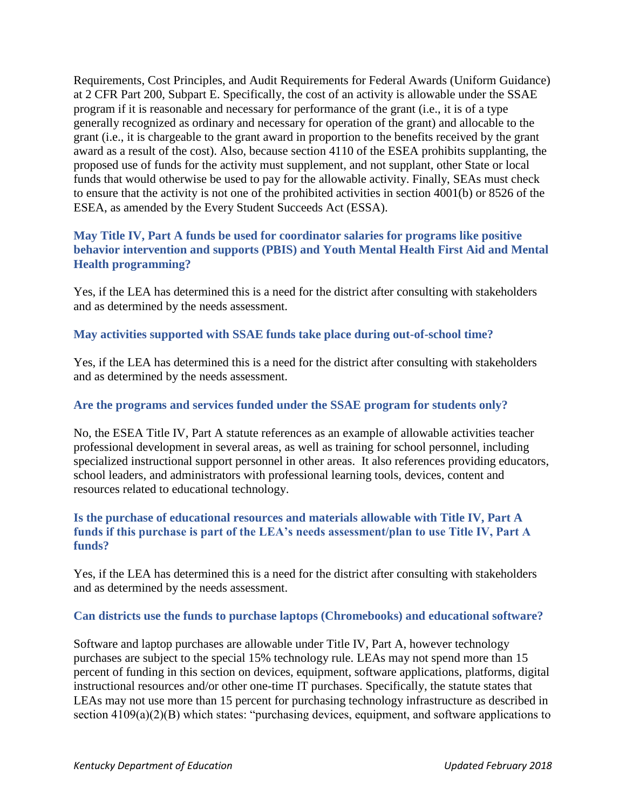Requirements, Cost Principles, and Audit Requirements for Federal Awards (Uniform Guidance) at 2 CFR Part 200, Subpart E. Specifically, the cost of an activity is allowable under the SSAE program if it is reasonable and necessary for performance of the grant (i.e., it is of a type generally recognized as ordinary and necessary for operation of the grant) and allocable to the grant (i.e., it is chargeable to the grant award in proportion to the benefits received by the grant award as a result of the cost). Also, because section 4110 of the ESEA prohibits supplanting, the proposed use of funds for the activity must supplement, and not supplant, other State or local funds that would otherwise be used to pay for the allowable activity. Finally, SEAs must check to ensure that the activity is not one of the prohibited activities in section 4001(b) or 8526 of the ESEA, as amended by the Every Student Succeeds Act (ESSA).

### **May Title IV, Part A funds be used for coordinator salaries for programs like positive behavior intervention and supports (PBIS) and Youth Mental Health First Aid and Mental Health programming?**

Yes, if the LEA has determined this is a need for the district after consulting with stakeholders and as determined by the needs assessment.

#### **May activities supported with SSAE funds take place during out-of-school time?**

Yes, if the LEA has determined this is a need for the district after consulting with stakeholders and as determined by the needs assessment.

#### **Are the programs and services funded under the SSAE program for students only?**

No, the ESEA Title IV, Part A statute references as an example of allowable activities teacher professional development in several areas, as well as training for school personnel, including specialized instructional support personnel in other areas. It also references providing educators, school leaders, and administrators with professional learning tools, devices, content and resources related to educational technology.

#### **Is the purchase of educational resources and materials allowable with Title IV, Part A funds if this purchase is part of the LEA's needs assessment/plan to use Title IV, Part A funds?**

Yes, if the LEA has determined this is a need for the district after consulting with stakeholders and as determined by the needs assessment.

#### **Can districts use the funds to purchase laptops (Chromebooks) and educational software?**

Software and laptop purchases are allowable under Title IV, Part A, however technology purchases are subject to the special 15% technology rule. LEAs may not spend more than 15 percent of funding in this section on devices, equipment, software applications, platforms, digital instructional resources and/or other one-time IT purchases. Specifically, the statute states that LEAs may not use more than 15 percent for purchasing technology infrastructure as described in section 4109(a)(2)(B) which states: "purchasing devices, equipment, and software applications to